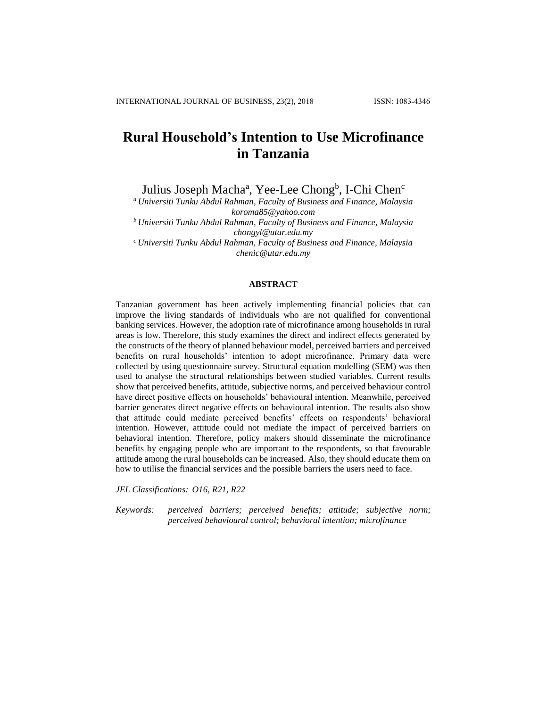# **Rural Household's Intention to Use Microfinance in Tanzania**

Julius Joseph Macha<sup>a</sup>, Yee-Lee Chong<sup>b</sup>, I-Chi Chen<sup>c</sup>

*<sup>a</sup> Universiti Tunku Abdul Rahman, Faculty of Business and Finance, Malaysia koroma85@yahoo.com*

*<sup>b</sup> Universiti Tunku Abdul Rahman, Faculty of Business and Finance, Malaysia chongyl@utar.edu.my*

*<sup>c</sup> Universiti Tunku Abdul Rahman, Faculty of Business and Finance, Malaysia chenic@utar.edu.my* 

#### **ABSTRACT**

Tanzanian government has been actively implementing financial policies that can improve the living standards of individuals who are not qualified for conventional banking services. However, the adoption rate of microfinance among households in rural areas is low. Therefore, this study examines the direct and indirect effects generated by the constructs of the theory of planned behaviour model, perceived barriers and perceived benefits on rural households' intention to adopt microfinance. Primary data were collected by using questionnaire survey. Structural equation modelling (SEM) was then used to analyse the structural relationships between studied variables. Current results show that perceived benefits, attitude, subjective norms, and perceived behaviour control have direct positive effects on households' behavioural intention. Meanwhile, perceived barrier generates direct negative effects on behavioural intention. The results also show that attitude could mediate perceived benefits' effects on respondents' behavioral intention. However, attitude could not mediate the impact of perceived barriers on behavioral intention. Therefore, policy makers should disseminate the microfinance benefits by engaging people who are important to the respondents, so that favourable attitude among the rural households can be increased. Also, they should educate them on how to utilise the financial services and the possible barriers the users need to face.

*JEL Classifications: O16, R21, R22*

*Keywords: perceived barriers; perceived benefits; attitude; subjective norm; perceived behavioural control; behavioral intention; microfinance*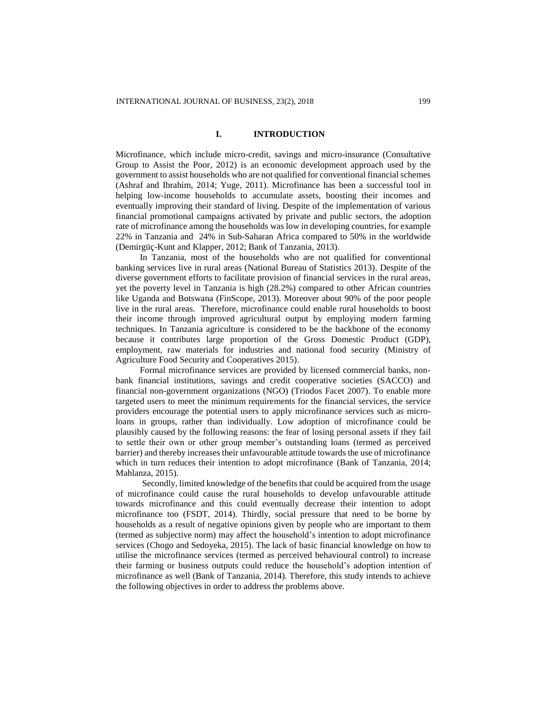## **I. INTRODUCTION**

Microfinance, which include micro-credit, savings and micro-insurance (Consultative Group to Assist the Poor, 2012) is an economic development approach used by the government to assist households who are not qualified for conventional financial schemes (Ashraf and Ibrahim, 2014; Yuge, 2011). Microfinance has been a successful tool in helping low-income households to accumulate assets, boosting their incomes and eventually improving their standard of living. Despite of the implementation of various financial promotional campaigns activated by private and public sectors, the adoption rate of microfinance among the households was low in developing countries, for example 22% in Tanzania and 24% in Sub-Saharan Africa compared to 50% in the worldwide (Demirgüç-Kunt and Klapper, 2012; Bank of Tanzania, 2013).

In Tanzania, most of the households who are not qualified for conventional banking services live in rural areas (National Bureau of Statistics 2013). Despite of the diverse government efforts to facilitate provision of financial services in the rural areas, yet the poverty level in Tanzania is high (28.2%) compared to other African countries like Uganda and Botswana (FinScope, 2013). Moreover about 90% of the poor people live in the rural areas. Therefore, microfinance could enable rural households to boost their income through improved agricultural output by employing modern farming techniques. In Tanzania agriculture is considered to be the backbone of the economy because it contributes large proportion of the Gross Domestic Product (GDP), employment, raw materials for industries and national food security (Ministry of Agriculture Food Security and Cooperatives 2015).

Formal microfinance services are provided by licensed commercial banks, nonbank financial institutions, savings and credit cooperative societies (SACCO) and financial non-government organizations (NGO) (Triodos Facet 2007). To enable more targeted users to meet the minimum requirements for the financial services, the service providers encourage the potential users to apply microfinance services such as microloans in groups, rather than individually. Low adoption of microfinance could be plausibly caused by the following reasons: the fear of losing personal assets if they fail to settle their own or other group member's outstanding loans (termed as perceived barrier) and thereby increases their unfavourable attitude towards the use of microfinance which in turn reduces their intention to adopt microfinance (Bank of Tanzania, 2014; Mahlanza, 2015).

Secondly, limited knowledge of the benefits that could be acquired from the usage of microfinance could cause the rural households to develop unfavourable attitude towards microfinance and this could eventually decrease their intention to adopt microfinance too (FSDT, 2014). Thirdly, social pressure that need to be borne by households as a result of negative opinions given by people who are important to them (termed as subjective norm) may affect the household's intention to adopt microfinance services (Chogo and Sedoyeka, 2015). The lack of basic financial knowledge on how to utilise the microfinance services (termed as perceived behavioural control) to increase their farming or business outputs could reduce the household's adoption intention of microfinance as well (Bank of Tanzania, 2014). Therefore, this study intends to achieve the following objectives in order to address the problems above.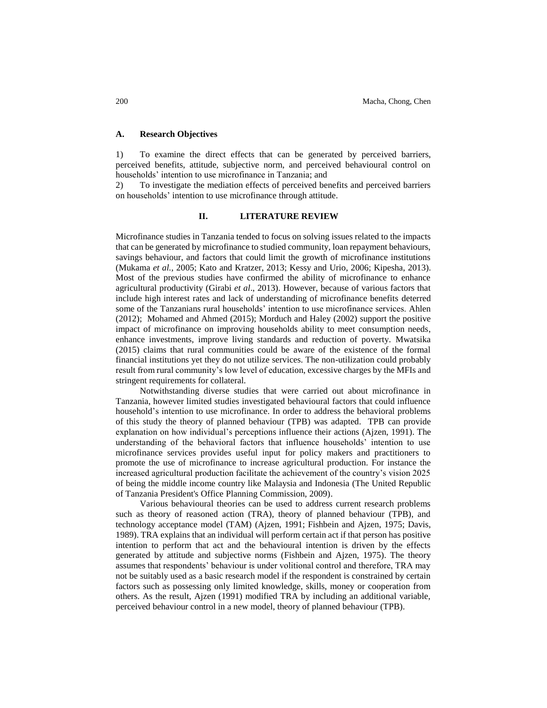## **A. Research Objectives**

1) To examine the direct effects that can be generated by perceived barriers, perceived benefits, attitude, subjective norm, and perceived behavioural control on households' intention to use microfinance in Tanzania; and

2) To investigate the mediation effects of perceived benefits and perceived barriers on households' intention to use microfinance through attitude.

#### **II. LITERATURE REVIEW**

Microfinance studies in Tanzania tended to focus on solving issues related to the impacts that can be generated by microfinance to studied community, loan repayment behaviours, savings behaviour, and factors that could limit the growth of microfinance institutions (Mukama *et al.,* 2005; Kato and Kratzer, 2013; Kessy and Urio, 2006; Kipesha, 2013). Most of the previous studies have confirmed the ability of microfinance to enhance agricultural productivity (Girabi *et al*., 2013). However, because of various factors that include high interest rates and lack of understanding of microfinance benefits deterred some of the Tanzanians rural households' intention to use microfinance services. Ahlen (2012); Mohamed and Ahmed (2015); Morduch and Haley (2002) support the positive impact of microfinance on improving households ability to meet consumption needs, enhance investments, improve living standards and reduction of poverty. Mwatsika (2015) claims that rural communities could be aware of the existence of the formal financial institutions yet they do not utilize services. The non-utilization could probably result from rural community's low level of education, excessive charges by the MFIs and stringent requirements for collateral.

Notwithstanding diverse studies that were carried out about microfinance in Tanzania, however limited studies investigated behavioural factors that could influence household's intention to use microfinance. In order to address the behavioral problems of this study the theory of planned behaviour (TPB) was adapted. TPB can provide explanation on how individual's perceptions influence their actions (Ajzen, 1991). The understanding of the behavioral factors that influence households' intention to use microfinance services provides useful input for policy makers and practitioners to promote the use of microfinance to increase agricultural production. For instance the increased agricultural production facilitate the achievement of the country's vision 2025 of being the middle income country like Malaysia and Indonesia (The United Republic of Tanzania President's Office Planning Commission, 2009).

Various behavioural theories can be used to address current research problems such as theory of reasoned action (TRA), theory of planned behaviour (TPB), and technology acceptance model (TAM) (Ajzen, 1991; Fishbein and Ajzen, 1975; Davis, 1989). TRA explains that an individual will perform certain act if that person has positive intention to perform that act and the behavioural intention is driven by the effects generated by attitude and subjective norms (Fishbein and Ajzen, 1975). The theory assumes that respondents' behaviour is under volitional control and therefore, TRA may not be suitably used as a basic research model if the respondent is constrained by certain factors such as possessing only limited knowledge, skills, money or cooperation from others. As the result, Ajzen (1991) modified TRA by including an additional variable, perceived behaviour control in a new model, theory of planned behaviour (TPB).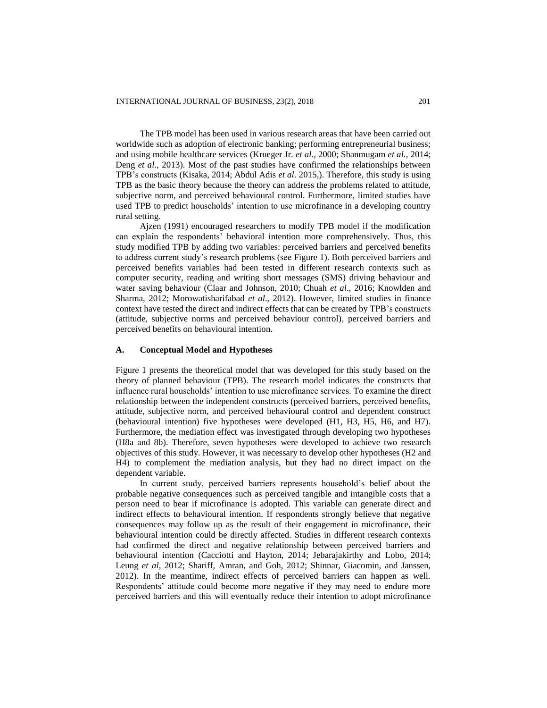The TPB model has been used in various research areas that have been carried out worldwide such as adoption of electronic banking; performing entrepreneurial business; and using mobile healthcare services (Krueger Jr. *et al*., 2000; Shanmugam *et al.,* 2014; Deng *et al*., 2013). Most of the past studies have confirmed the relationships between TPB's constructs (Kisaka, 2014; Abdul Adis *et al*. 2015,). Therefore, this study is using TPB as the basic theory because the theory can address the problems related to attitude, subjective norm, and perceived behavioural control. Furthermore, limited studies have used TPB to predict households' intention to use microfinance in a developing country rural setting.

Ajzen (1991) encouraged researchers to modify TPB model if the modification can explain the respondents' behavioral intention more comprehensively. Thus, this study modified TPB by adding two variables: perceived barriers and perceived benefits to address current study's research problems (see Figure 1). Both perceived barriers and perceived benefits variables had been tested in different research contexts such as computer security, reading and writing short messages (SMS) driving behaviour and water saving behaviour (Claar and Johnson, 2010; Chuah *et al*., 2016; Knowlden and Sharma, 2012; Morowatisharifabad *et al*., 2012). However, limited studies in finance context have tested the direct and indirect effects that can be created by TPB's constructs (attitude, subjective norms and perceived behaviour control), perceived barriers and perceived benefits on behavioural intention.

#### **A. Conceptual Model and Hypotheses**

Figure 1 presents the theoretical model that was developed for this study based on the theory of planned behaviour (TPB). The research model indicates the constructs that influence rural households' intention to use microfinance services. To examine the direct relationship between the independent constructs (perceived barriers, perceived benefits, attitude, subjective norm, and perceived behavioural control and dependent construct (behavioural intention) five hypotheses were developed (H1, H3, H5, H6, and H7). Furthermore, the mediation effect was investigated through developing two hypotheses (H8a and 8b). Therefore, seven hypotheses were developed to achieve two research objectives of this study. However, it was necessary to develop other hypotheses (H2 and H4) to complement the mediation analysis, but they had no direct impact on the dependent variable.

In current study, perceived barriers represents household's belief about the probable negative consequences such as perceived tangible and intangible costs that a person need to bear if microfinance is adopted. This variable can generate direct and indirect effects to behavioural intention. If respondents strongly believe that negative consequences may follow up as the result of their engagement in microfinance, their behavioural intention could be directly affected. Studies in different research contexts had confirmed the direct and negative relationship between perceived barriers and behavioural intention (Cacciotti and Hayton, 2014; Jebarajakirthy and Lobo, 2014; Leung *et al*, 2012; Shariff, Amran, and Goh, 2012; Shinnar, Giacomin, and Janssen, 2012). In the meantime, indirect effects of perceived barriers can happen as well. Respondents' attitude could become more negative if they may need to endure more perceived barriers and this will eventually reduce their intention to adopt microfinance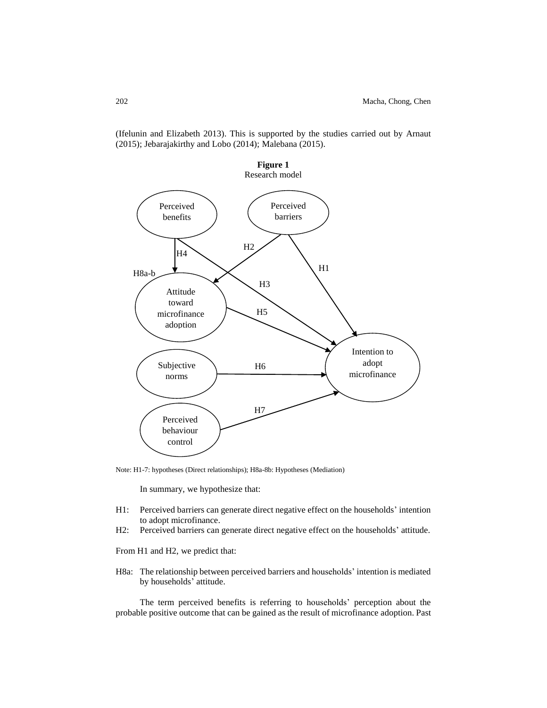(Ifelunin and Elizabeth 2013). This is supported by the studies carried out by Arnaut (2015); Jebarajakirthy and Lobo (2014); Malebana (2015).



Note: H1-7: hypotheses (Direct relationships); H8a-8b: Hypotheses (Mediation)

In summary, we hypothesize that:

- H1: Perceived barriers can generate direct negative effect on the households' intention to adopt microfinance.
- H2: Perceived barriers can generate direct negative effect on the households' attitude.

From H1 and H2, we predict that:

H8a: The relationship between perceived barriers and households' intention is mediated by households' attitude.

The term perceived benefits is referring to households' perception about the probable positive outcome that can be gained as the result of microfinance adoption. Past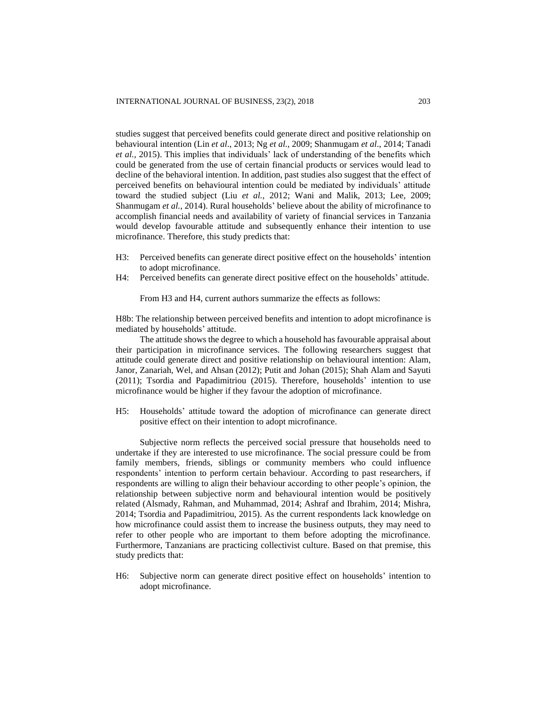studies suggest that perceived benefits could generate direct and positive relationship on behavioural intention (Lin *et al*., 2013; Ng *et al.,* 2009; Shanmugam *et al*., 2014; Tanadi *et al.,* 2015). This implies that individuals' lack of understanding of the benefits which could be generated from the use of certain financial products or services would lead to decline of the behavioral intention. In addition, past studies also suggest that the effect of perceived benefits on behavioural intention could be mediated by individuals' attitude toward the studied subject (Liu *et al.,* 2012; Wani and Malik, 2013; Lee, 2009; Shanmugam *et al.*, 2014). Rural households' believe about the ability of microfinance to accomplish financial needs and availability of variety of financial services in Tanzania would develop favourable attitude and subsequently enhance their intention to use microfinance. Therefore, this study predicts that:

- H3: Perceived benefits can generate direct positive effect on the households' intention to adopt microfinance.
- H4: Perceived benefits can generate direct positive effect on the households' attitude.

From H3 and H4, current authors summarize the effects as follows:

H8b: The relationship between perceived benefits and intention to adopt microfinance is mediated by households' attitude.

The attitude shows the degree to which a household has favourable appraisal about their participation in microfinance services. The following researchers suggest that attitude could generate direct and positive relationship on behavioural intention: Alam, Janor, Zanariah, Wel, and Ahsan (2012); Putit and Johan (2015); Shah Alam and Sayuti (2011); Tsordia and Papadimitriou (2015). Therefore, households' intention to use microfinance would be higher if they favour the adoption of microfinance.

H5: Households' attitude toward the adoption of microfinance can generate direct positive effect on their intention to adopt microfinance.

Subjective norm reflects the perceived social pressure that households need to undertake if they are interested to use microfinance. The social pressure could be from family members, friends, siblings or community members who could influence respondents' intention to perform certain behaviour. According to past researchers, if respondents are willing to align their behaviour according to other people's opinion, the relationship between subjective norm and behavioural intention would be positively related (Alsmady, Rahman, and Muhammad, 2014; Ashraf and Ibrahim, 2014; Mishra, 2014; Tsordia and Papadimitriou, 2015). As the current respondents lack knowledge on how microfinance could assist them to increase the business outputs, they may need to refer to other people who are important to them before adopting the microfinance. Furthermore, Tanzanians are practicing collectivist culture. Based on that premise, this study predicts that:

H6: Subjective norm can generate direct positive effect on households' intention to adopt microfinance.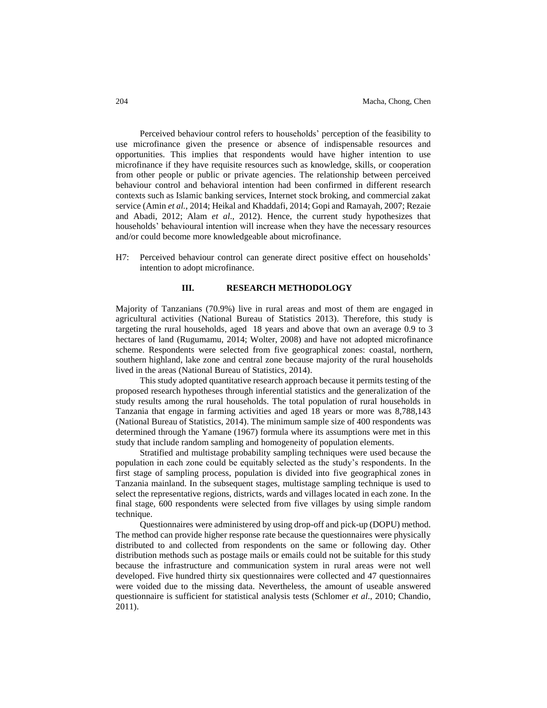Perceived behaviour control refers to households' perception of the feasibility to use microfinance given the presence or absence of indispensable resources and opportunities. This implies that respondents would have higher intention to use microfinance if they have requisite resources such as knowledge, skills, or cooperation from other people or public or private agencies. The relationship between perceived behaviour control and behavioral intention had been confirmed in different research contexts such as Islamic banking services, Internet stock broking, and commercial zakat service (Amin *et al.*, 2014; Heikal and Khaddafi, 2014; Gopi and Ramayah, 2007; Rezaie and Abadi, 2012; Alam *et al*., 2012). Hence, the current study hypothesizes that households' behavioural intention will increase when they have the necessary resources and/or could become more knowledgeable about microfinance.

H7: Perceived behaviour control can generate direct positive effect on households' intention to adopt microfinance.

## **III. RESEARCH METHODOLOGY**

Majority of Tanzanians (70.9%) live in rural areas and most of them are engaged in agricultural activities (National Bureau of Statistics 2013). Therefore, this study is targeting the rural households, aged 18 years and above that own an average 0.9 to 3 hectares of land (Rugumamu, 2014; Wolter, 2008) and have not adopted microfinance scheme. Respondents were selected from five geographical zones: coastal, northern, southern highland, lake zone and central zone because majority of the rural households lived in the areas (National Bureau of Statistics, 2014).

This study adopted quantitative research approach because it permits testing of the proposed research hypotheses through inferential statistics and the generalization of the study results among the rural households. The total population of rural households in Tanzania that engage in farming activities and aged 18 years or more was 8,788,143 (National Bureau of Statistics, 2014). The minimum sample size of 400 respondents was determined through the Yamane (1967) formula where its assumptions were met in this study that include random sampling and homogeneity of population elements.

Stratified and multistage probability sampling techniques were used because the population in each zone could be equitably selected as the study's respondents. In the first stage of sampling process, population is divided into five geographical zones in Tanzania mainland. In the subsequent stages, multistage sampling technique is used to select the representative regions, districts, wards and villages located in each zone. In the final stage, 600 respondents were selected from five villages by using simple random technique.

Questionnaires were administered by using drop-off and pick-up (DOPU) method. The method can provide higher response rate because the questionnaires were physically distributed to and collected from respondents on the same or following day. Other distribution methods such as postage mails or emails could not be suitable for this study because the infrastructure and communication system in rural areas were not well developed. Five hundred thirty six questionnaires were collected and 47 questionnaires were voided due to the missing data. Nevertheless, the amount of useable answered questionnaire is sufficient for statistical analysis tests (Schlomer *et al*., 2010; Chandio, 2011).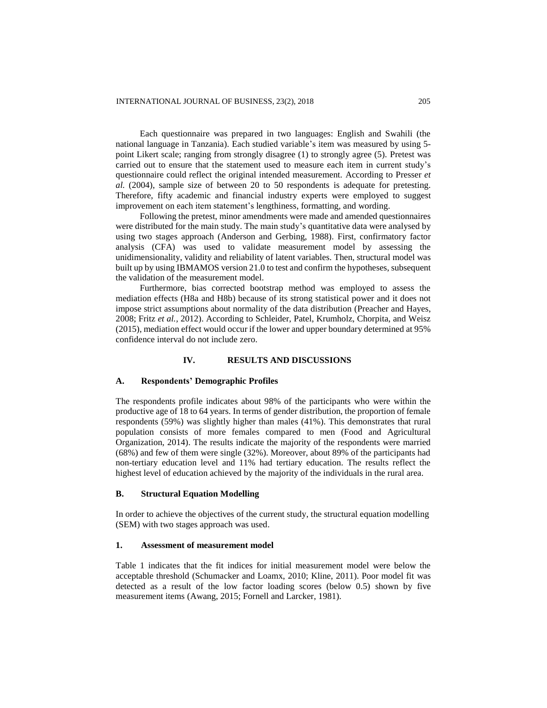Each questionnaire was prepared in two languages: English and Swahili (the national language in Tanzania). Each studied variable's item was measured by using 5 point Likert scale; ranging from strongly disagree (1) to strongly agree (5). Pretest was carried out to ensure that the statement used to measure each item in current study's questionnaire could reflect the original intended measurement. According to Presser *et al.* (2004), sample size of between 20 to 50 respondents is adequate for pretesting. Therefore, fifty academic and financial industry experts were employed to suggest improvement on each item statement's lengthiness, formatting, and wording.

Following the pretest, minor amendments were made and amended questionnaires were distributed for the main study. The main study's quantitative data were analysed by using two stages approach (Anderson and Gerbing, 1988). First, confirmatory factor analysis (CFA) was used to validate measurement model by assessing the unidimensionality, validity and reliability of latent variables. Then, structural model was built up by using IBMAMOS version 21.0 to test and confirm the hypotheses, subsequent the validation of the measurement model.

Furthermore, bias corrected bootstrap method was employed to assess the mediation effects (H8a and H8b) because of its strong statistical power and it does not impose strict assumptions about normality of the data distribution (Preacher and Hayes, 2008; Fritz *et al.,* 2012). According to Schleider, Patel, Krumholz, Chorpita, and Weisz (2015), mediation effect would occur if the lower and upper boundary determined at 95% confidence interval do not include zero.

#### **IV. RESULTS AND DISCUSSIONS**

#### **A. Respondents' Demographic Profiles**

The respondents profile indicates about 98% of the participants who were within the productive age of 18 to 64 years. In terms of gender distribution, the proportion of female respondents (59%) was slightly higher than males (41%). This demonstrates that rural population consists of more females compared to men (Food and Agricultural Organization, 2014). The results indicate the majority of the respondents were married (68%) and few of them were single (32%). Moreover, about 89% of the participants had non-tertiary education level and 11% had tertiary education. The results reflect the highest level of education achieved by the majority of the individuals in the rural area.

## **B. Structural Equation Modelling**

In order to achieve the objectives of the current study, the structural equation modelling (SEM) with two stages approach was used.

## **1. Assessment of measurement model**

Table 1 indicates that the fit indices for initial measurement model were below the acceptable threshold (Schumacker and Loamx, 2010; Kline, 2011). Poor model fit was detected as a result of the low factor loading scores (below 0.5) shown by five measurement items (Awang, 2015; Fornell and Larcker, 1981).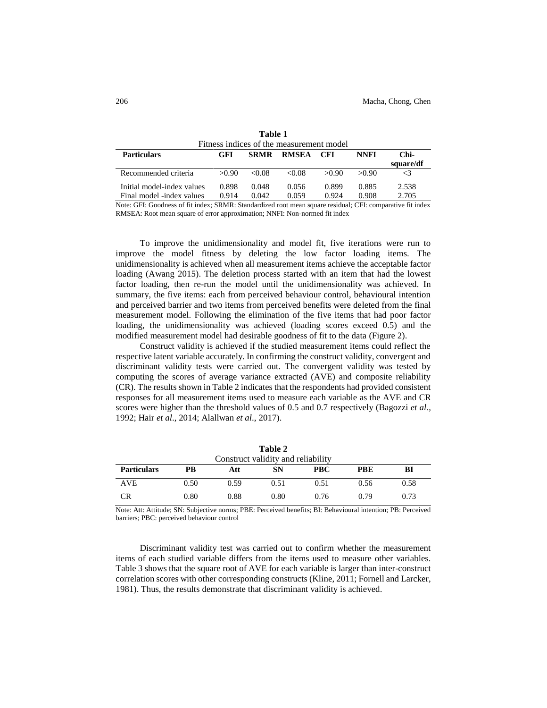| Fitness indices of the measurement model |                |                |                |                |                                                                                                                                                                                                                                                                                                                                                                                                       |  |  |  |
|------------------------------------------|----------------|----------------|----------------|----------------|-------------------------------------------------------------------------------------------------------------------------------------------------------------------------------------------------------------------------------------------------------------------------------------------------------------------------------------------------------------------------------------------------------|--|--|--|
| <b>GFI</b>                               | <b>SRMR</b>    | RMSEA          | CFI            | <b>NNFI</b>    | Chi-<br>square/df                                                                                                                                                                                                                                                                                                                                                                                     |  |  |  |
| >0.90                                    | &0.08          | &0.08          | >0.90          | >0.90          |                                                                                                                                                                                                                                                                                                                                                                                                       |  |  |  |
| 0.898<br>0.914                           | 0.048<br>0.042 | 0.056<br>0.059 | 0.899<br>0.924 | 0.885<br>0.908 | 2.538<br>2.705                                                                                                                                                                                                                                                                                                                                                                                        |  |  |  |
|                                          |                |                |                |                | $\mathbf{M}_{\text{min}}$ , $\mathbf{C}_{\text{max}}$ , $\mathbf{C}_{\text{max}}$ , $\mathbf{C}_{\text{min}}$ , $\mathbf{C}_{\text{max}}$ , $\mathbf{C}_{\text{max}}$ , $\mathbf{C}_{\text{max}}$ , $\mathbf{C}_{\text{max}}$ , $\mathbf{C}_{\text{max}}$ , $\mathbf{C}_{\text{max}}$ , $\mathbf{C}_{\text{max}}$ , $\mathbf{C}_{\text{max}}$ , $\mathbf{C}_{\text{max}}$ , $\mathbf{C}_{\text{max}}$ |  |  |  |

| Table 1                                 |  |
|-----------------------------------------|--|
| Fitness indices of the measurement mode |  |

Note: GFI: Goodness of fit index; SRMR: Standardized root mean square residual; CFI: comparative fit index RMSEA: Root mean square of error approximation; NNFI: Non-normed fit index

To improve the unidimensionality and model fit, five iterations were run to improve the model fitness by deleting the low factor loading items. The unidimensionality is achieved when all measurement items achieve the acceptable factor loading (Awang 2015). The deletion process started with an item that had the lowest factor loading, then re-run the model until the unidimensionality was achieved. In summary, the five items: each from perceived behaviour control, behavioural intention and perceived barrier and two items from perceived benefits were deleted from the final measurement model. Following the elimination of the five items that had poor factor loading, the unidimensionality was achieved (loading scores exceed 0.5) and the modified measurement model had desirable goodness of fit to the data (Figure 2).

Construct validity is achieved if the studied measurement items could reflect the respective latent variable accurately. In confirming the construct validity, convergent and discriminant validity tests were carried out. The convergent validity was tested by computing the scores of average variance extracted (AVE) and composite reliability (CR). The results shown in Table 2 indicates that the respondents had provided consistent responses for all measurement items used to measure each variable as the AVE and CR scores were higher than the threshold values of 0.5 and 0.7 respectively (Bagozzi *et al.,* 1992; Hair *et al*., 2014; Alallwan *et al*., 2017).

| Table 2                            |      |      |      |      |      |      |  |  |  |
|------------------------------------|------|------|------|------|------|------|--|--|--|
| Construct validity and reliability |      |      |      |      |      |      |  |  |  |
| <b>Particulars</b>                 | PB   | Att  | SN   | PBC  | PBE  | BI   |  |  |  |
| <b>AVE</b>                         | 0.50 | 0.59 | 0.51 | 0.51 | 0.56 | 0.58 |  |  |  |
| <b>CR</b>                          | 0.80 | 0.88 | 0.80 | 0.76 | 0.79 | 0.73 |  |  |  |

Note: Att: Attitude; SN: Subjective norms; PBE: Perceived benefits; BI: Behavioural intention; PB: Perceived barriers; PBC: perceived behaviour control

Discriminant validity test was carried out to confirm whether the measurement items of each studied variable differs from the items used to measure other variables. Table 3 shows that the square root of AVE for each variable is larger than inter-construct correlation scores with other corresponding constructs (Kline, 2011; Fornell and Larcker, 1981). Thus, the results demonstrate that discriminant validity is achieved.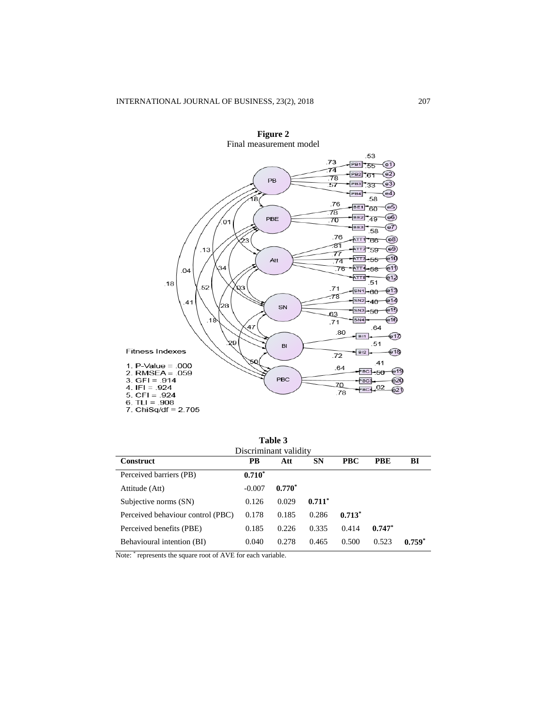

**Figure 2**

| <b>Table 3</b><br>Discriminant validity |           |          |           |            |            |          |  |  |  |
|-----------------------------------------|-----------|----------|-----------|------------|------------|----------|--|--|--|
| <b>Construct</b>                        | <b>PB</b> | Att      | <b>SN</b> | <b>PBC</b> | <b>PBE</b> | BI       |  |  |  |
| Perceived barriers (PB)                 | $0.710*$  |          |           |            |            |          |  |  |  |
| Attitude (Att)                          | $-0.007$  | $0.770*$ |           |            |            |          |  |  |  |
| Subjective norms (SN)                   | 0.126     | 0.029    | $0.711*$  |            |            |          |  |  |  |
| Perceived behaviour control (PBC)       | 0.178     | 0.185    | 0.286     | $0.713*$   |            |          |  |  |  |
| Perceived benefits (PBE)                | 0.185     | 0.226    | 0.335     | 0.414      | $0.747*$   |          |  |  |  |
| Behavioural intention (BI)              | 0.040     | 0.278    | 0.465     | 0.500      | 0.523      | $0.759*$ |  |  |  |

Note: \* represents the square root of AVE for each variable.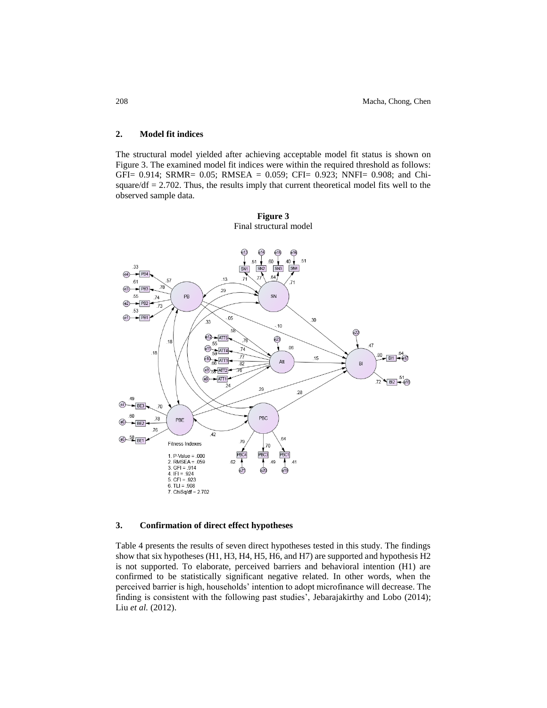## **2. Model fit indices**

The structural model yielded after achieving acceptable model fit status is shown on Figure 3. The examined model fit indices were within the required threshold as follows: GFI= 0.914; SRMR= 0.05; RMSEA = 0.059; CFI= 0.923; NNFI= 0.908; and Chisquare/ $df = 2.702$ . Thus, the results imply that current theoretical model fits well to the observed sample data.



**Figure 3** Final structural model

## **3. Confirmation of direct effect hypotheses**

Table 4 presents the results of seven direct hypotheses tested in this study. The findings show that six hypotheses (H1, H3, H4, H5, H6, and H7) are supported and hypothesis H2 is not supported. To elaborate, perceived barriers and behavioral intention (H1) are confirmed to be statistically significant negative related. In other words, when the perceived barrier is high, households' intention to adopt microfinance will decrease. The finding is consistent with the following past studies', Jebarajakirthy and Lobo (2014); Liu *et al.* (2012).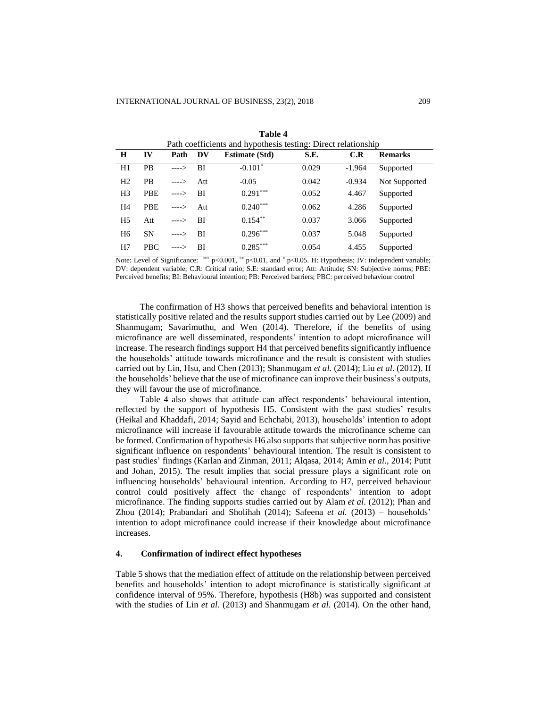| Path coefficients and hypothesis testing: Direct relationship |            |            |     |                       |       |          |                |
|---------------------------------------------------------------|------------|------------|-----|-----------------------|-------|----------|----------------|
| $\bf H$                                                       | IV         | Path       | DV  | <b>Estimate (Std)</b> | S.E.  | C.R      | <b>Remarks</b> |
| H1                                                            | <b>PB</b>  | $--->$     | BI  | $-0.101*$             | 0.029 | $-1.964$ | Supported      |
| H <sub>2</sub>                                                | <b>PB</b>  | $--->$     | Att | $-0.05$               | 0.042 | $-0.934$ | Not Supported  |
| H <sub>3</sub>                                                | <b>PBE</b> | ---->      | BI  | $0.291***$            | 0.052 | 4.467    | Supported      |
| H <sub>4</sub>                                                | <b>PBE</b> | $--->$ Att |     | $0.240***$            | 0.062 | 4.286    | Supported      |
| H <sub>5</sub>                                                | Att        | $--->$     | BI  | $0.154***$            | 0.037 | 3.066    | Supported      |
| H <sub>6</sub>                                                | <b>SN</b>  | ---->      | -BI | $0.296***$            | 0.037 | 5.048    | Supported      |
| H7                                                            | <b>PBC</b> | ----> RI   |     | $0.285***$            | 0.054 | 4.455    | Supported      |

**Table 4**

Note: Level of Significance: \*\*\* p<0.001, \*\* p<0.01, and \* p<0.05. H: Hypothesis; IV: independent variable; DV: dependent variable; C.R: Critical ratio; S.E: standard error; Att: Attitude; SN: Subjective norms; PBE: Perceived benefits; BI: Behavioural intention; PB: Perceived barriers; PBC: perceived behaviour control

The confirmation of H3 shows that perceived benefits and behavioral intention is statistically positive related and the results support studies carried out by Lee (2009) and Shanmugam; Savarimuthu, and Wen (2014). Therefore, if the benefits of using microfinance are well disseminated, respondents' intention to adopt microfinance will increase. The research findings support H4 that perceived benefits significantly influence the households' attitude towards microfinance and the result is consistent with studies carried out by Lin, Hsu, and Chen (2013); Shanmugam *et al.* (2014); Liu *et al*. (2012). If the households' believe that the use of microfinance can improve their business's outputs, they will favour the use of microfinance.

Table 4 also shows that attitude can affect respondents' behavioural intention, reflected by the support of hypothesis H5. Consistent with the past studies' results (Heikal and Khaddafi, 2014; Sayid and Echchabi, 2013), households' intention to adopt microfinance will increase if favourable attitude towards the microfinance scheme can be formed. Confirmation of hypothesis H6 also supports that subjective norm has positive significant influence on respondents' behavioural intention. The result is consistent to past studies' findings (Karlan and Zinman, 2011; Alqasa, 2014; Amin *et al*., 2014; Putit and Johan, 2015). The result implies that social pressure plays a significant role on influencing households' behavioural intention. According to H7, perceived behaviour control could positively affect the change of respondents' intention to adopt microfinance. The finding supports studies carried out by Alam *et al*. (2012); Phan and Zhou (2014); Prabandari and Sholihah (2014); Safeena *et al.* (2013) – households' intention to adopt microfinance could increase if their knowledge about microfinance increases.

## **4. Confirmation of indirect effect hypotheses**

Table 5 shows that the mediation effect of attitude on the relationship between perceived benefits and households' intention to adopt microfinance is statistically significant at confidence interval of 95%. Therefore, hypothesis (H8b) was supported and consistent with the studies of Lin *et al.* (2013) and Shanmugam *et al.* (2014). On the other hand,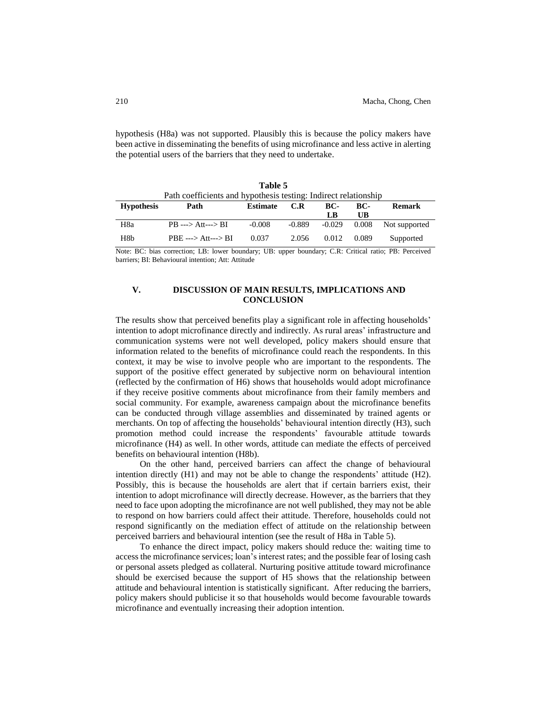hypothesis (H8a) was not supported. Plausibly this is because the policy makers have been active in disseminating the benefits of using microfinance and less active in alerting the potential users of the barriers that they need to undertake.

**Table 5**

| тане э<br>Path coefficients and hypothesis testing: Indirect relationship |                                |           |               |                |       |               |  |  |
|---------------------------------------------------------------------------|--------------------------------|-----------|---------------|----------------|-------|---------------|--|--|
| <b>Hypothesis</b>                                                         | Path                           | BC-<br>UB | <b>Remark</b> |                |       |               |  |  |
| H8a                                                                       | $PB$ ---> Att---> BI           | $-0.008$  | -0.889        | LB<br>$-0.029$ | 0.008 | Not supported |  |  |
| H8b                                                                       | $PBE \longrightarrow Att-->BI$ | 0.037     | 2.056         | 0.012          | 0.089 | Supported     |  |  |

Note: BC: bias correction; LB: lower boundary; UB: upper boundary; C.R: Critical ratio; PB: Perceived barriers; BI: Behavioural intention; Att: Attitude

## **V. DISCUSSION OF MAIN RESULTS, IMPLICATIONS AND CONCLUSION**

The results show that perceived benefits play a significant role in affecting households' intention to adopt microfinance directly and indirectly. As rural areas' infrastructure and communication systems were not well developed, policy makers should ensure that information related to the benefits of microfinance could reach the respondents. In this context, it may be wise to involve people who are important to the respondents. The support of the positive effect generated by subjective norm on behavioural intention (reflected by the confirmation of H6) shows that households would adopt microfinance if they receive positive comments about microfinance from their family members and social community. For example, awareness campaign about the microfinance benefits can be conducted through village assemblies and disseminated by trained agents or merchants. On top of affecting the households' behavioural intention directly (H3), such promotion method could increase the respondents' favourable attitude towards microfinance (H4) as well. In other words, attitude can mediate the effects of perceived benefits on behavioural intention (H8b).

On the other hand, perceived barriers can affect the change of behavioural intention directly (H1) and may not be able to change the respondents' attitude (H2). Possibly, this is because the households are alert that if certain barriers exist, their intention to adopt microfinance will directly decrease. However, as the barriers that they need to face upon adopting the microfinance are not well published, they may not be able to respond on how barriers could affect their attitude. Therefore, households could not respond significantly on the mediation effect of attitude on the relationship between perceived barriers and behavioural intention (see the result of H8a in Table 5).

To enhance the direct impact, policy makers should reduce the: waiting time to access the microfinance services; loan's interest rates; and the possible fear of losing cash or personal assets pledged as collateral. Nurturing positive attitude toward microfinance should be exercised because the support of H5 shows that the relationship between attitude and behavioural intention is statistically significant. After reducing the barriers, policy makers should publicise it so that households would become favourable towards microfinance and eventually increasing their adoption intention.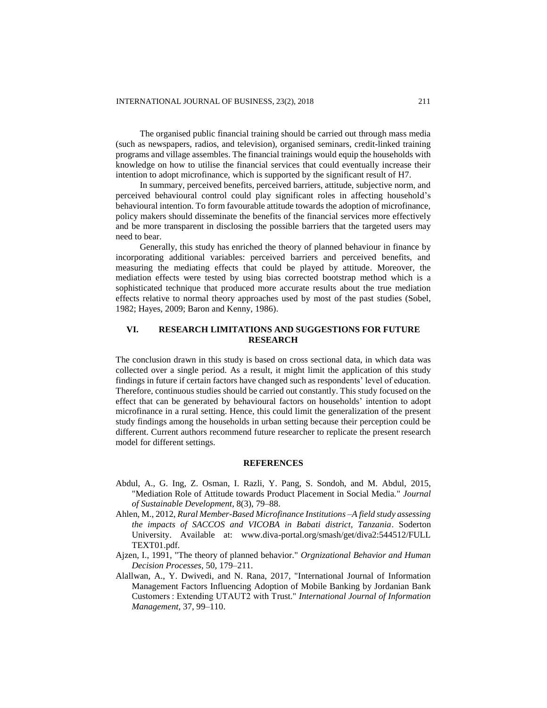The organised public financial training should be carried out through mass media (such as newspapers, radios, and television), organised seminars, credit-linked training programs and village assembles. The financial trainings would equip the households with knowledge on how to utilise the financial services that could eventually increase their intention to adopt microfinance, which is supported by the significant result of H7.

In summary, perceived benefits, perceived barriers, attitude, subjective norm, and perceived behavioural control could play significant roles in affecting household's behavioural intention. To form favourable attitude towards the adoption of microfinance, policy makers should disseminate the benefits of the financial services more effectively and be more transparent in disclosing the possible barriers that the targeted users may need to bear.

Generally, this study has enriched the theory of planned behaviour in finance by incorporating additional variables: perceived barriers and perceived benefits, and measuring the mediating effects that could be played by attitude. Moreover, the mediation effects were tested by using bias corrected bootstrap method which is a sophisticated technique that produced more accurate results about the true mediation effects relative to normal theory approaches used by most of the past studies (Sobel, 1982; Hayes, 2009; Baron and Kenny, 1986).

## **VI. RESEARCH LIMITATIONS AND SUGGESTIONS FOR FUTURE RESEARCH**

The conclusion drawn in this study is based on cross sectional data, in which data was collected over a single period. As a result, it might limit the application of this study findings in future if certain factors have changed such as respondents' level of education. Therefore, continuous studies should be carried out constantly. This study focused on the effect that can be generated by behavioural factors on households' intention to adopt microfinance in a rural setting. Hence, this could limit the generalization of the present study findings among the households in urban setting because their perception could be different. Current authors recommend future researcher to replicate the present research model for different settings.

## **REFERENCES**

- Abdul, A., G. Ing, Z. Osman, I. Razli, Y. Pang, S. Sondoh, and M. Abdul, 2015, "Mediation Role of Attitude towards Product Placement in Social Media." *Journal of Sustainable Development*, 8(3), 79–88.
- Ahlen, M., 2012, *Rural Member-Based Microfinance Institutions –A field study assessing the impacts of SACCOS and VICOBA in Babati district, Tanzania*. Soderton University. Available at: www.diva-portal.org/smash/get/diva2:544512/FULL TEXT01.pdf.
- Ajzen, I., 1991, "The theory of planned behavior." *Orgnizational Behavior and Human Decision Processes*, 50, 179–211.
- Alallwan, A., Y. Dwivedi, and N. Rana, 2017, "International Journal of Information Management Factors Influencing Adoption of Mobile Banking by Jordanian Bank Customers : Extending UTAUT2 with Trust." *International Journal of Information Management*, 37, 99–110.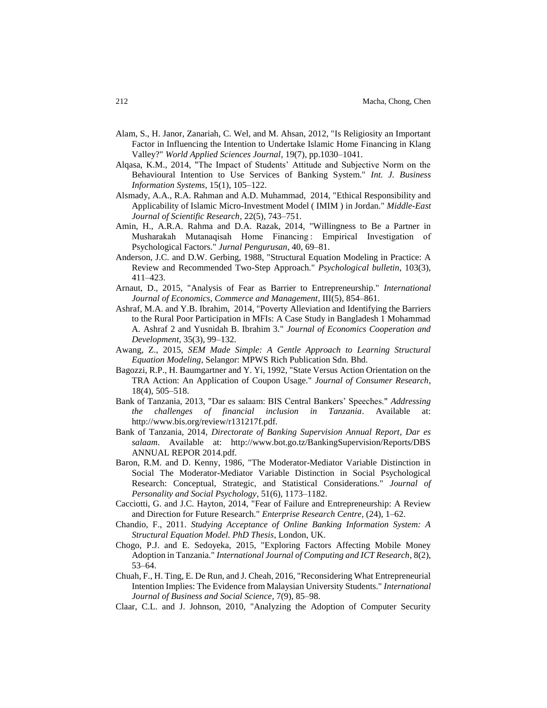- Alam, S., H. Janor, Zanariah, C. Wel, and M. Ahsan, 2012, "Is Religiosity an Important Factor in Influencing the Intention to Undertake Islamic Home Financing in Klang Valley?" *World Applied Sciences Journal*, 19(7), pp.1030–1041.
- Alqasa, K.M., 2014, "The Impact of Students' Attitude and Subjective Norm on the Behavioural Intention to Use Services of Banking System." *Int. J. Business Information Systems*, 15(1), 105–122.
- Alsmady, A.A., R.A. Rahman and A.D. Muhammad, 2014, "Ethical Responsibility and Applicability of Islamic Micro-Investment Model ( IMIM ) in Jordan." *Middle-East Journal of Scientific Research*, 22(5), 743–751.
- Amin, H., A.R.A. Rahma and D.A. Razak, 2014, "Willingness to Be a Partner in Musharakah Mutanaqisah Home Financing : Empirical Investigation of Psychological Factors." *Jurnal Pengurusan*, 40, 69–81.
- Anderson, J.C. and D.W. Gerbing, 1988, "Structural Equation Modeling in Practice: A Review and Recommended Two-Step Approach." *Psychological bulletin*, 103(3), 411–423.
- Arnaut, D., 2015, "Analysis of Fear as Barrier to Entrepreneurship." *International Journal of Economics, Commerce and Management*, III(5), 854–861.
- Ashraf, M.A. and Y.B. Ibrahim, 2014, "Poverty Alleviation and Identifying the Barriers to the Rural Poor Participation in MFIs: A Case Study in Bangladesh 1 Mohammad A. Ashraf 2 and Yusnidah B. Ibrahim 3." *Journal of Economics Cooperation and Development*, 35(3), 99–132.
- Awang, Z., 2015, *SEM Made Simple: A Gentle Approach to Learning Structural Equation Modeling*, Selangor: MPWS Rich Publication Sdn. Bhd.
- Bagozzi, R.P., H. Baumgartner and Y. Yi, 1992, "State Versus Action Orientation on the TRA Action: An Application of Coupon Usage." *Journal of Consumer Research*, 18(4), 505–518.
- Bank of Tanzania, 2013, "Dar es salaam: BIS Central Bankers' Speeches." *Addressing the challenges of financial inclusion in Tanzania*. Available at: http://www.bis.org/review/r131217f.pdf.
- Bank of Tanzania, 2014, *Directorate of Banking Supervision Annual Report*, *Dar es salaam*. Available at: http://www.bot.go.tz/BankingSupervision/Reports/DBS ANNUAL REPOR 2014.pdf.
- Baron, R.M. and D. Kenny, 1986, "The Moderator-Mediator Variable Distinction in Social The Moderator-Mediator Variable Distinction in Social Psychological Research: Conceptual, Strategic, and Statistical Considerations." *Journal of Personality and Social Psychology*, 51(6), 1173–1182.
- Cacciotti, G. and J.C. Hayton, 2014, "Fear of Failure and Entrepreneurship: A Review and Direction for Future Research." *Enterprise Research Centre*, (24), 1–62.
- Chandio, F., 2011. *Studying Acceptance of Online Banking Information System: A Structural Equation Model. PhD Thesis*, London, UK.
- Chogo, P.J. and E. Sedoyeka, 2015, "Exploring Factors Affecting Mobile Money Adoption in Tanzania." *International Journal of Computing and ICT Research*, 8(2), 53–64.
- Chuah, F., H. Ting, E. De Run, and J. Cheah, 2016, "Reconsidering What Entrepreneurial Intention Implies: The Evidence from Malaysian University Students." *International Journal of Business and Social Science*, 7(9), 85–98.
- Claar, C.L. and J. Johnson, 2010, "Analyzing the Adoption of Computer Security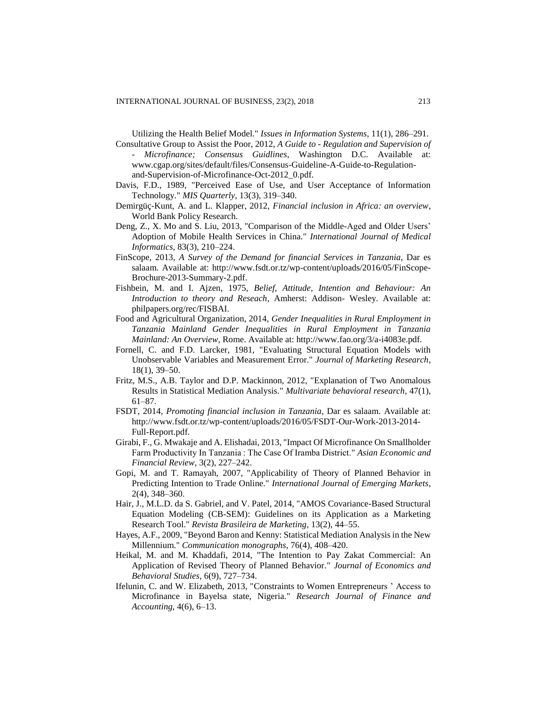Utilizing the Health Belief Model." *Issues in Information Systems*, 11(1), 286–291. Consultative Group to Assist the Poor, 2012, *A Guide to - Regulation and Supervision of* 

- *Microfinance; Consensus Guidlines*, Washington D.C. Available at: www.cgap.org/sites/default/files/Consensus-Guideline-A-Guide-to-Regulationand-Supervision-of-Microfinance-Oct-2012\_0.pdf.
- Davis, F.D., 1989, "Perceived Ease of Use, and User Acceptance of Information Technology." *MIS Quarterly*, 13(3), 319–340.
- Demirgüç-Kunt, A. and L. Klapper, 2012, *Financial inclusion in Africa: an overview*, World Bank Policy Research.
- Deng, Z., X. Mo and S. Liu, 2013, "Comparison of the Middle-Aged and Older Users' Adoption of Mobile Health Services in China." *International Journal of Medical Informatics*, 83(3), 210–224.
- FinScope, 2013, *A Survey of the Demand for financial Services in Tanzania*, Dar es salaam. Available at: http://www.fsdt.or.tz/wp-content/uploads/2016/05/FinScope-Brochure-2013-Summary-2.pdf.
- Fishbein, M. and I. Ajzen, 1975, *Belief, Attitude, Intention and Behaviour: An Introduction to theory and Reseach*, Amherst: Addison- Wesley. Available at: philpapers.org/rec/FISBAI.
- Food and Agricultural Organization, 2014, *Gender Inequalities in Rural Employment in Tanzania Mainland Gender Inequalities in Rural Employment in Tanzania Mainland: An Overview*, Rome. Available at: http://www.fao.org/3/a-i4083e.pdf.
- Fornell, C. and F.D. Larcker, 1981, "Evaluating Structural Equation Models with Unobservable Variables and Measurement Error." *Journal of Marketing Research*, 18(1), 39–50.
- Fritz, M.S., A.B. Taylor and D.P. Mackinnon, 2012, "Explanation of Two Anomalous Results in Statistical Mediation Analysis." *Multivariate behavioral research*, 47(1), 61–87.
- FSDT, 2014, *Promoting financial inclusion in Tanzania*, Dar es salaam. Available at: http://www.fsdt.or.tz/wp-content/uploads/2016/05/FSDT-Our-Work-2013-2014- Full-Report.pdf.
- Girabi, F., G. Mwakaje and A. Elishadai, 2013, "Impact Of Microfinance On Smallholder Farm Productivity In Tanzania : The Case Of Iramba District." *Asian Economic and Financial Review*, 3(2), 227–242.
- Gopi, M. and T. Ramayah, 2007, "Applicability of Theory of Planned Behavior in Predicting Intention to Trade Online." *International Journal of Emerging Markets*, 2(4), 348–360.
- Hair, J., M.L.D. da S. Gabriel, and V. Patel, 2014, "AMOS Covariance-Based Structural Equation Modeling (CB-SEM): Guidelines on its Application as a Marketing Research Tool." *Revista Brasileira de Marketing*, 13(2), 44–55.
- Hayes, A.F., 2009, "Beyond Baron and Kenny: Statistical Mediation Analysis in the New Millennium." *Communication monographs*, 76(4), 408–420.
- Heikal, M. and M. Khaddafi, 2014, "The Intention to Pay Zakat Commercial: An Application of Revised Theory of Planned Behavior." *Journal of Economics and Behavioral Studies*, 6(9), 727–734.
- Ifelunin, C. and W. Elizabeth, 2013, "Constraints to Women Entrepreneurs ' Access to Microfinance in Bayelsa state, Nigeria." *Research Journal of Finance and Accounting*, 4(6), 6–13.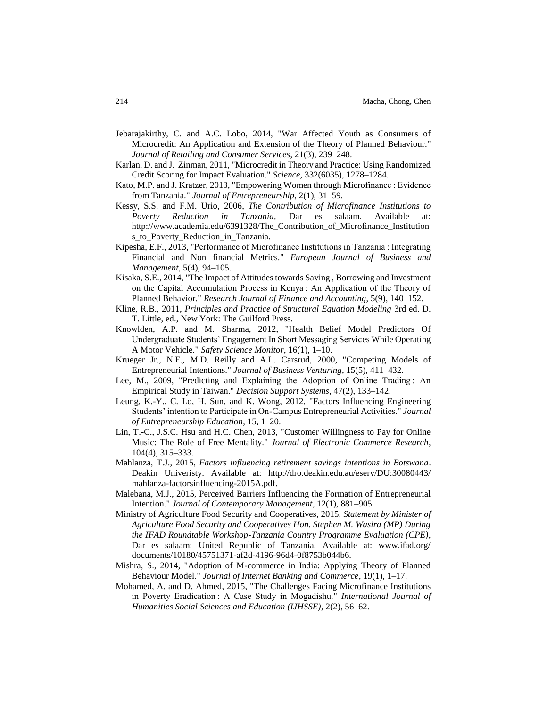- Jebarajakirthy, C. and A.C. Lobo, 2014, "War Affected Youth as Consumers of Microcredit: An Application and Extension of the Theory of Planned Behaviour." *Journal of Retailing and Consumer Services*, 21(3), 239–248.
- Karlan, D. and J. Zinman, 2011, "Microcredit in Theory and Practice: Using Randomized Credit Scoring for Impact Evaluation." *Science*, 332(6035), 1278–1284.
- Kato, M.P. and J. Kratzer, 2013, "Empowering Women through Microfinance : Evidence from Tanzania." *Journal of Entrepreneurship*, 2(1), 31–59.
- Kessy, S.S. and F.M. Urio, 2006, *The Contribution of Microfinance Institutions to Poverty Reduction in Tanzania*, Dar es salaam. Available at: http://www.academia.edu/6391328/The\_Contribution\_of\_Microfinance\_Institution s\_to\_Poverty\_Reduction\_in\_Tanzania.
- Kipesha, E.F., 2013, "Performance of Microfinance Institutions in Tanzania : Integrating Financial and Non financial Metrics." *European Journal of Business and Management*, 5(4), 94–105.
- Kisaka, S.E., 2014, "The Impact of Attitudes towards Saving , Borrowing and Investment on the Capital Accumulation Process in Kenya : An Application of the Theory of Planned Behavior." *Research Journal of Finance and Accounting*, 5(9), 140–152.
- Kline, R.B., 2011, *Principles and Practice of Structural Equation Modeling* 3rd ed. D. T. Little, ed., New York: The Guilford Press.
- Knowlden, A.P. and M. Sharma, 2012, "Health Belief Model Predictors Of Undergraduate Students' Engagement In Short Messaging Services While Operating A Motor Vehicle." *Safety Science Monitor*, 16(1), 1–10.
- Krueger Jr., N.F., M.D. Reilly and A.L. Carsrud, 2000, "Competing Models of Entrepreneurial Intentions." *Journal of Business Venturing*, 15(5), 411–432.
- Lee, M., 2009, "Predicting and Explaining the Adoption of Online Trading: An Empirical Study in Taiwan." *Decision Support Systems*, 47(2), 133–142.
- Leung, K.-Y., C. Lo, H. Sun, and K. Wong, 2012, "Factors Influencing Engineering Students' intention to Participate in On-Campus Entrepreneurial Activities." *Journal of Entrepreneurship Education*, 15, 1–20.
- Lin, T.-C., J.S.C. Hsu and H.C. Chen, 2013, "Customer Willingness to Pay for Online Music: The Role of Free Mentality." *Journal of Electronic Commerce Research*, 104(4), 315–333.
- Mahlanza, T.J., 2015, *Factors influencing retirement savings intentions in Botswana*. Deakin Univeristy. Available at: http://dro.deakin.edu.au/eserv/DU:30080443/ mahlanza-factorsinfluencing-2015A.pdf.
- Malebana, M.J., 2015, Perceived Barriers Influencing the Formation of Entrepreneurial Intention." *Journal of Contemporary Management*, 12(1), 881–905.
- Ministry of Agriculture Food Security and Cooperatives, 2015, *Statement by Minister of Agriculture Food Security and Cooperatives Hon. Stephen M. Wasira (MP) During the IFAD Roundtable Workshop-Tanzania Country Programme Evaluation (CPE)*, Dar es salaam: United Republic of Tanzania. Available at: www.ifad.org/ documents/10180/45751371-af2d-4196-96d4-0f8753b044b6.
- Mishra, S., 2014, "Adoption of M-commerce in India: Applying Theory of Planned Behaviour Model." *Journal of Internet Banking and Commerce*, 19(1), 1–17.
- Mohamed, A. and D. Ahmed, 2015, "The Challenges Facing Microfinance Institutions in Poverty Eradication : A Case Study in Mogadishu." *International Journal of Humanities Social Sciences and Education (IJHSSE)*, 2(2), 56–62.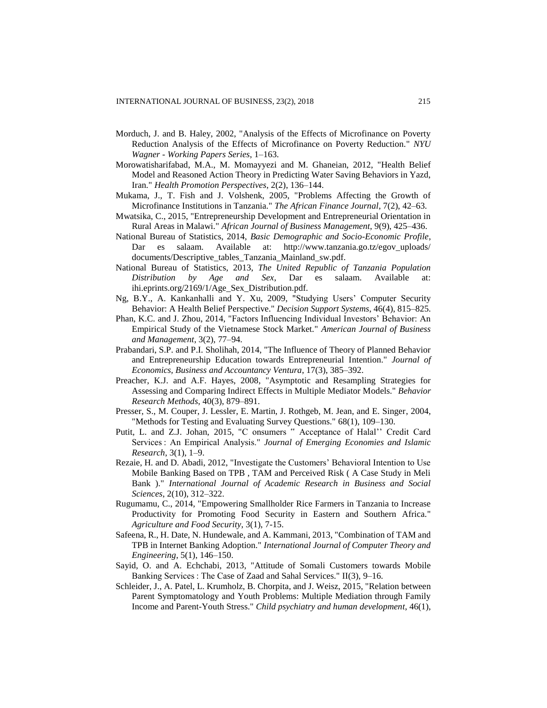- Morduch, J. and B. Haley, 2002, "Analysis of the Effects of Microfinance on Poverty Reduction Analysis of the Effects of Microfinance on Poverty Reduction." *NYU Wagner - Working Papers Series*, 1–163.
- Morowatisharifabad, M.A., M. Momayyezi and M. Ghaneian, 2012, "Health Belief Model and Reasoned Action Theory in Predicting Water Saving Behaviors in Yazd, Iran." *Health Promotion Perspectives*, 2(2), 136–144.
- Mukama, J., T. Fish and J. Volshenk, 2005, "Problems Affecting the Growth of Microfinance Institutions in Tanzania." *The African Finance Journal*, 7(2), 42–63.
- Mwatsika, C., 2015, "Entrepreneurship Development and Entrepreneurial Orientation in Rural Areas in Malawi." *African Journal of Business Management*, 9(9), 425–436.
- National Bureau of Statistics, 2014, *Basic Demographic and Socio-Economic Profile*, Dar es salaam. Available at: http://www.tanzania.go.tz/egov\_uploads/ documents/Descriptive\_tables\_Tanzania\_Mainland\_sw.pdf.
- National Bureau of Statistics, 2013, *The United Republic of Tanzania Population Distribution by Age and Sex*, Dar es salaam. Available at: ihi.eprints.org/2169/1/Age\_Sex\_Distribution.pdf.
- Ng, B.Y., A. Kankanhalli and Y. Xu, 2009, "Studying Users' Computer Security Behavior: A Health Belief Perspective." *Decision Support Systems*, 46(4), 815–825.
- Phan, K.C. and J. Zhou, 2014, "Factors Influencing Individual Investors' Behavior: An Empirical Study of the Vietnamese Stock Market." *American Journal of Business and Management*, 3(2), 77–94.
- Prabandari, S.P. and P.I. Sholihah, 2014, "The Influence of Theory of Planned Behavior and Entrepreneurship Education towards Entrepreneurial Intention." *Journal of Economics, Business and Accountancy Ventura*, 17(3), 385–392.
- Preacher, K.J. and A.F. Hayes, 2008, "Asymptotic and Resampling Strategies for Assessing and Comparing Indirect Effects in Multiple Mediator Models." *Behavior Research Methods*, 40(3), 879–891.
- Presser, S., M. Couper, J. Lessler, E. Martin, J. Rothgeb, M. Jean, and E. Singer, 2004, "Methods for Testing and Evaluating Survey Questions." 68(1), 109–130.
- Putit, L. and Z.J. Johan, 2015, "C onsumers " Acceptance of Halal'' Credit Card Services : An Empirical Analysis." *Journal of Emerging Economies and Islamic Research*, 3(1), 1–9.
- Rezaie, H. and D. Abadi, 2012, "Investigate the Customers' Behavioral Intention to Use Mobile Banking Based on TPB , TAM and Perceived Risk ( A Case Study in Meli Bank )." *International Journal of Academic Research in Business and Social Sciences*, 2(10), 312–322.
- Rugumamu, C., 2014, "Empowering Smallholder Rice Farmers in Tanzania to Increase Productivity for Promoting Food Security in Eastern and Southern Africa." *Agriculture and Food Security*, 3(1), 7-15.
- Safeena, R., H. Date, N. Hundewale, and A. Kammani, 2013, "Combination of TAM and TPB in Internet Banking Adoption." *International Journal of Computer Theory and Engineering*, 5(1), 146–150.
- Sayid, O. and A. Echchabi, 2013, "Attitude of Somali Customers towards Mobile Banking Services : The Case of Zaad and Sahal Services." II(3), 9–16.
- Schleider, J., A. Patel, L. Krumholz, B. Chorpita, and J. Weisz, 2015, "Relation between Parent Symptomatology and Youth Problems: Multiple Mediation through Family Income and Parent-Youth Stress." *Child psychiatry and human development*, 46(1),